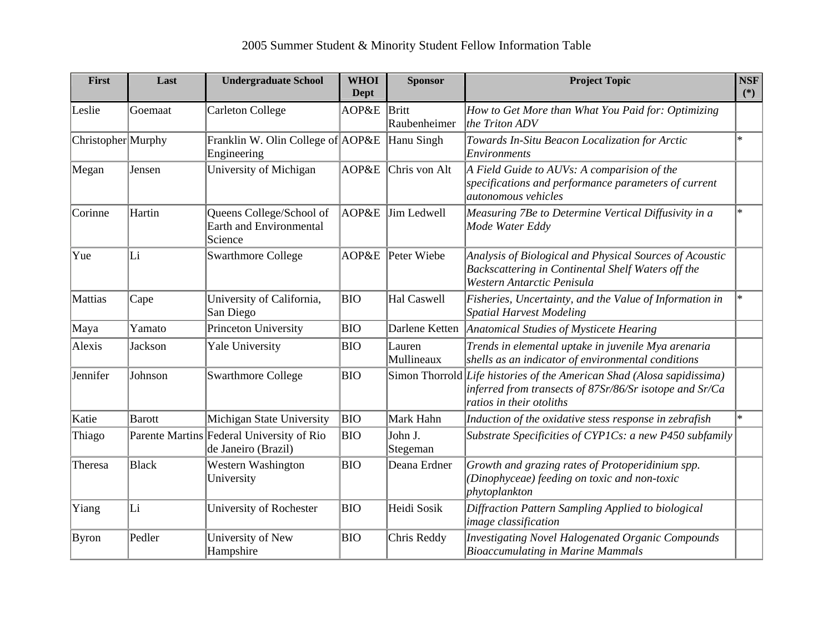| First              | Last          | <b>Undergraduate School</b>                                      | <b>WHOI</b><br><b>Dept</b> | <b>Sponsor</b>        | <b>Project Topic</b>                                                                                                                                          | <b>NSF</b><br>$(*)$ |
|--------------------|---------------|------------------------------------------------------------------|----------------------------|-----------------------|---------------------------------------------------------------------------------------------------------------------------------------------------------------|---------------------|
| Leslie             | Goemaat       | <b>Carleton College</b>                                          | AOP&E                      | Britt<br>Raubenheimer | How to Get More than What You Paid for: Optimizing<br>the Triton ADV                                                                                          |                     |
| Christopher Murphy |               | Franklin W. Olin College of AOP&E<br>Engineering                 |                            | Hanu Singh            | Towards In-Situ Beacon Localization for Arctic<br>Environments                                                                                                | $\ast$              |
| Megan              | Jensen        | University of Michigan                                           | AOP&E                      | Chris von Alt         | A Field Guide to AUVs: A comparision of the<br>specifications and performance parameters of current<br>autonomous vehicles                                    |                     |
| Corinne            | Hartin        | Queens College/School of<br>Earth and Environmental<br>Science   | AOP&E                      | Jim Ledwell           | Measuring 7Be to Determine Vertical Diffusivity in a<br>Mode Water Eddy                                                                                       | $\ast$              |
| Yue                | Li            | <b>Swarthmore College</b>                                        | AOP&E                      | Peter Wiebe           | Analysis of Biological and Physical Sources of Acoustic<br>Backscattering in Continental Shelf Waters off the<br>Western Antarctic Penisula                   |                     |
| Mattias            | Cape          | University of California,<br>San Diego                           | <b>BIO</b>                 | Hal Caswell           | Fisheries, Uncertainty, and the Value of Information in<br><b>Spatial Harvest Modeling</b>                                                                    | $\ast$              |
| Maya               | Yamato        | Princeton University                                             | <b>BIO</b>                 | Darlene Ketten        | Anatomical Studies of Mysticete Hearing                                                                                                                       |                     |
| Alexis             | Jackson       | <b>Yale University</b>                                           | <b>BIO</b>                 | Lauren<br>Mullineaux  | Trends in elemental uptake in juvenile Mya arenaria<br>shells as an indicator of environmental conditions                                                     |                     |
| Jennifer           | Johnson       | <b>Swarthmore College</b>                                        | <b>BIO</b>                 |                       | Simon Thorrold Life histories of the American Shad (Alosa sapidissima)<br>inferred from transects of 87Sr/86/Sr isotope and Sr/Ca<br>ratios in their otoliths |                     |
| Katie              | <b>Barott</b> | Michigan State University                                        | <b>BIO</b>                 | Mark Hahn             | Induction of the oxidative stess response in zebrafish                                                                                                        | l∗.                 |
| Thiago             |               | Parente Martins Federal University of Rio<br>de Janeiro (Brazil) | <b>BIO</b>                 | John J.<br>Stegeman   | Substrate Specificities of CYP1Cs: a new P450 subfamily                                                                                                       |                     |
| Theresa            | <b>Black</b>  | Western Washington<br>University                                 | <b>BIO</b>                 | Deana Erdner          | Growth and grazing rates of Protoperidinium spp.<br>(Dinophyceae) feeding on toxic and non-toxic<br>phytoplankton                                             |                     |
| Yiang              | Li            | University of Rochester                                          | <b>BIO</b>                 | Heidi Sosik           | Diffraction Pattern Sampling Applied to biological<br><i>image classification</i>                                                                             |                     |
| Byron              | Pedler        | University of New<br>Hampshire                                   | <b>BIO</b>                 | Chris Reddy           | <b>Investigating Novel Halogenated Organic Compounds</b><br><b>Bioaccumulating in Marine Mammals</b>                                                          |                     |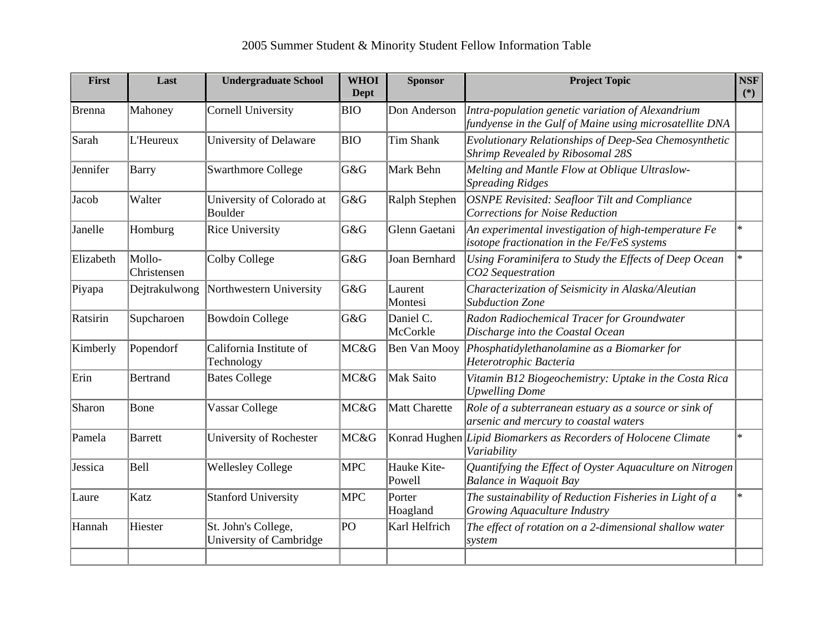| First     | Last                  | <b>Undergraduate School</b>                    | <b>WHOI</b><br><b>Dept</b> | <b>Sponsor</b>        | <b>Project Topic</b>                                                                                         | <b>NSF</b><br>$(*)$ |
|-----------|-----------------------|------------------------------------------------|----------------------------|-----------------------|--------------------------------------------------------------------------------------------------------------|---------------------|
| Brenna    | Mahoney               | <b>Cornell University</b>                      | <b>BIO</b>                 | Don Anderson          | Intra-population genetic variation of Alexandrium<br>fundyense in the Gulf of Maine using microsatellite DNA |                     |
| Sarah     | L'Heureux             | University of Delaware                         | <b>BIO</b>                 | Tim Shank             | Evolutionary Relationships of Deep-Sea Chemosynthetic<br>Shrimp Revealed by Ribosomal 28S                    |                     |
| Jennifer  | <b>Barry</b>          | <b>Swarthmore College</b>                      | G&G                        | Mark Behn             | Melting and Mantle Flow at Oblique Ultraslow-<br><b>Spreading Ridges</b>                                     |                     |
| Jacob     | Walter                | University of Colorado at<br>Boulder           | G&G                        | Ralph Stephen         | OSNPE Revisited: Seafloor Tilt and Compliance<br><b>Corrections for Noise Reduction</b>                      |                     |
| Janelle   | Homburg               | <b>Rice University</b>                         | G&G                        | Glenn Gaetani         | An experimental investigation of high-temperature Fe<br>isotope fractionation in the Fe/FeS systems          | $\ast$              |
| Elizabeth | Mollo-<br>Christensen | Colby College                                  | G&G                        | Joan Bernhard         | Using Foraminifera to Study the Effects of Deep Ocean<br>CO2 Sequestration                                   | $\ast$              |
| Piyapa    | Dejtrakulwong         | Northwestern University                        | G&G                        | Laurent<br>Montesi    | Characterization of Seismicity in Alaska/Aleutian<br><b>Subduction Zone</b>                                  |                     |
| Ratsirin  | Supcharoen            | <b>Bowdoin College</b>                         | G&G                        | Daniel C.<br>McCorkle | Radon Radiochemical Tracer for Groundwater<br>Discharge into the Coastal Ocean                               |                     |
| Kimberly  | Popendorf             | California Institute of<br>Technology          | MC&G                       | Ben Van Mooy          | Phosphatidylethanolamine as a Biomarker for<br>Heterotrophic Bacteria                                        |                     |
| Erin      | <b>Bertrand</b>       | <b>Bates College</b>                           | MC&G                       | <b>Mak Saito</b>      | Vitamin B12 Biogeochemistry: Uptake in the Costa Rica<br><b>Upwelling Dome</b>                               |                     |
| Sharon    | Bone                  | Vassar College                                 | MC&G                       | Matt Charette         | Role of a subterranean estuary as a source or sink of<br>arsenic and mercury to coastal waters               |                     |
| Pamela    | Barrett               | University of Rochester                        | MC&G                       |                       | Konrad Hughen Lipid Biomarkers as Recorders of Holocene Climate<br>Variability                               | $\ast$              |
| Jessica   | Bell                  | <b>Wellesley College</b>                       | <b>MPC</b>                 | Hauke Kite-<br>Powell | Quantifying the Effect of Oyster Aquaculture on Nitrogen<br><b>Balance in Waquoit Bay</b>                    |                     |
| Laure     | Katz                  | <b>Stanford University</b>                     | <b>MPC</b>                 | Porter<br>Hoagland    | The sustainability of Reduction Fisheries in Light of a<br>Growing Aquaculture Industry                      | $\ast$              |
| Hannah    | Hiester               | St. John's College,<br>University of Cambridge | PO                         | Karl Helfrich         | The effect of rotation on a 2-dimensional shallow water<br>system                                            |                     |
|           |                       |                                                |                            |                       |                                                                                                              |                     |